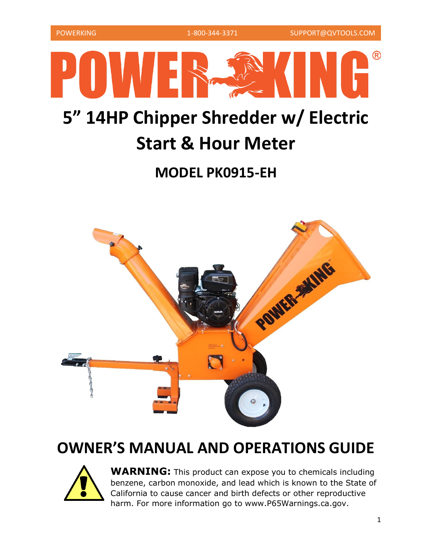

# **5" 14HP Chipper Shredder w/ Electric Start & Hour Meter**

## **MODEL PK0915-EH**



## **OWNER'S MANUAL AND OPERATIONS GUIDE**



**WARNING:** This product can expose you to chemicals including benzene, carbon monoxide, and lead which is known to the State of California to cause cancer and birth defects or other reproductive harm. For more information go to www.P65Warnings.ca.gov.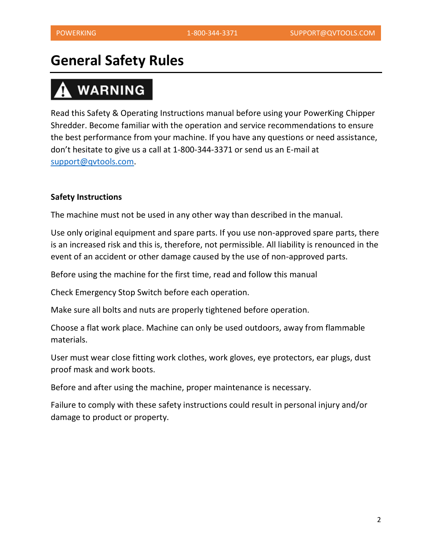## **General Safety Rules**

# **WARNING**

Read this Safety & Operating Instructions manual before using your PowerKing Chipper Shredder. Become familiar with the operation and service recommendations to ensure the best performance from your machine. If you have any questions or need assistance, don't hesitate to give us a call at 1-800-344-3371 or send us an E-mail at [support@qvtools.com.](mailto:support@qvtools.com)

#### **Safety Instructions**

The machine must not be used in any other way than described in the manual.

Use only original equipment and spare parts. If you use non-approved spare parts, there is an increased risk and this is, therefore, not permissible. All liability is renounced in the event of an accident or other damage caused by the use of non-approved parts.

Before using the machine for the first time, read and follow this manual

Check Emergency Stop Switch before each operation.

Make sure all bolts and nuts are properly tightened before operation.

Choose a flat work place. Machine can only be used outdoors, away from flammable materials.

User must wear close fitting work clothes, work gloves, eye protectors, ear plugs, dust proof mask and work boots.

Before and after using the machine, proper maintenance is necessary.

Failure to comply with these safety instructions could result in personal injury and/or damage to product or property.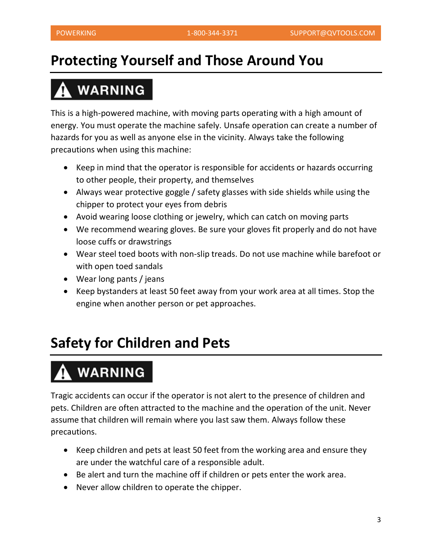## **Protecting Yourself and Those Around You**

# **WARNING**

This is a high-powered machine, with moving parts operating with a high amount of energy. You must operate the machine safely. Unsafe operation can create a number of hazards for you as well as anyone else in the vicinity. Always take the following precautions when using this machine:

- Keep in mind that the operator is responsible for accidents or hazards occurring to other people, their property, and themselves
- Always wear protective goggle / safety glasses with side shields while using the chipper to protect your eyes from debris
- Avoid wearing loose clothing or jewelry, which can catch on moving parts
- We recommend wearing gloves. Be sure your gloves fit properly and do not have loose cuffs or drawstrings
- Wear steel toed boots with non-slip treads. Do not use machine while barefoot or with open toed sandals
- Wear long pants / jeans
- Keep bystanders at least 50 feet away from your work area at all times. Stop the engine when another person or pet approaches.

## **Safety for Children and Pets**

# **WARNING**

Tragic accidents can occur if the operator is not alert to the presence of children and pets. Children are often attracted to the machine and the operation of the unit. Never assume that children will remain where you last saw them. Always follow these precautions.

- Keep children and pets at least 50 feet from the working area and ensure they are under the watchful care of a responsible adult.
- Be alert and turn the machine off if children or pets enter the work area.
- Never allow children to operate the chipper.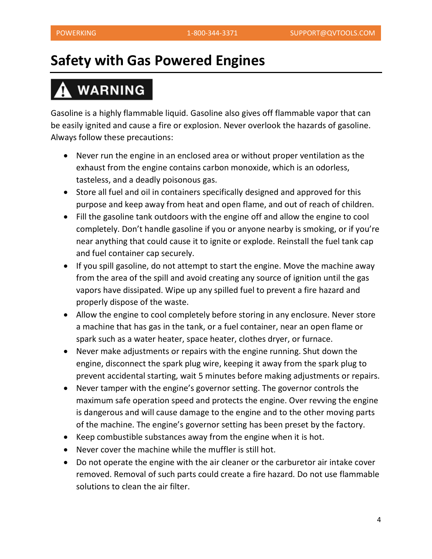## **Safety with Gas Powered Engines**

# **WARNING**

Gasoline is a highly flammable liquid. Gasoline also gives off flammable vapor that can be easily ignited and cause a fire or explosion. Never overlook the hazards of gasoline. Always follow these precautions:

- Never run the engine in an enclosed area or without proper ventilation as the exhaust from the engine contains carbon monoxide, which is an odorless, tasteless, and a deadly poisonous gas.
- Store all fuel and oil in containers specifically designed and approved for this purpose and keep away from heat and open flame, and out of reach of children.
- Fill the gasoline tank outdoors with the engine off and allow the engine to cool completely. Don't handle gasoline if you or anyone nearby is smoking, or if you're near anything that could cause it to ignite or explode. Reinstall the fuel tank cap and fuel container cap securely.
- If you spill gasoline, do not attempt to start the engine. Move the machine away from the area of the spill and avoid creating any source of ignition until the gas vapors have dissipated. Wipe up any spilled fuel to prevent a fire hazard and properly dispose of the waste.
- Allow the engine to cool completely before storing in any enclosure. Never store a machine that has gas in the tank, or a fuel container, near an open flame or spark such as a water heater, space heater, clothes dryer, or furnace.
- Never make adjustments or repairs with the engine running. Shut down the engine, disconnect the spark plug wire, keeping it away from the spark plug to prevent accidental starting, wait 5 minutes before making adjustments or repairs.
- Never tamper with the engine's governor setting. The governor controls the maximum safe operation speed and protects the engine. Over revving the engine is dangerous and will cause damage to the engine and to the other moving parts of the machine. The engine's governor setting has been preset by the factory.
- Keep combustible substances away from the engine when it is hot.
- Never cover the machine while the muffler is still hot.
- Do not operate the engine with the air cleaner or the carburetor air intake cover removed. Removal of such parts could create a fire hazard. Do not use flammable solutions to clean the air filter.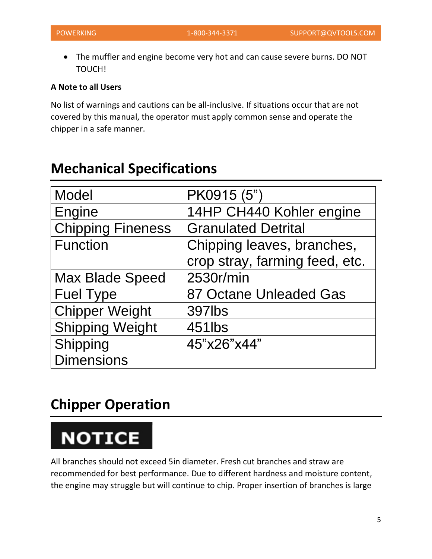• The muffler and engine become very hot and can cause severe burns. DO NOT TOUCH!

#### **A Note to all Users**

No list of warnings and cautions can be all-inclusive. If situations occur that are not covered by this manual, the operator must apply common sense and operate the chipper in a safe manner.

| Model                    | PK0915 (5")                    |
|--------------------------|--------------------------------|
| Engine                   | 14HP CH440 Kohler engine       |
| <b>Chipping Fineness</b> | <b>Granulated Detrital</b>     |
| <b>Function</b>          | Chipping leaves, branches,     |
|                          | crop stray, farming feed, etc. |
| <b>Max Blade Speed</b>   | 2530r/min                      |
| <b>Fuel Type</b>         | 87 Octane Unleaded Gas         |
| <b>Chipper Weight</b>    | 397lbs                         |
| <b>Shipping Weight</b>   | 451lbs                         |
| Shipping                 | 45"x26"x44"                    |
| <b>Dimensions</b>        |                                |

## **Mechanical Specifications**

## **Chipper Operation**

# **NOTICE**

All branches should not exceed 5in diameter. Fresh cut branches and straw are recommended for best performance. Due to different hardness and moisture content, the engine may struggle but will continue to chip. Proper insertion of branches is large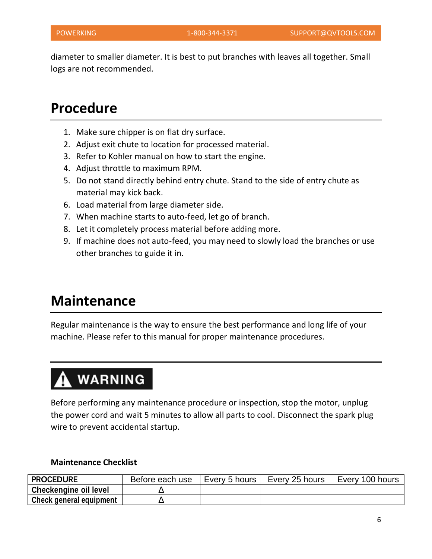diameter to smaller diameter. It is best to put branches with leaves all together. Small logs are not recommended.

## **Procedure**

- 1. Make sure chipper is on flat dry surface.
- 2. Adjust exit chute to location for processed material.
- 3. Refer to Kohler manual on how to start the engine.
- 4. Adjust throttle to maximum RPM.
- 5. Do not stand directly behind entry chute. Stand to the side of entry chute as material may kick back.
- 6. Load material from large diameter side.
- 7. When machine starts to auto-feed, let go of branch.
- 8. Let it completely process material before adding more.
- 9. If machine does not auto-feed, you may need to slowly load the branches or use other branches to guide it in.

## **Maintenance**

Regular maintenance is the way to ensure the best performance and long life of your machine. Please refer to this manual for proper maintenance procedures.

# **WARNING**

Before performing any maintenance procedure or inspection, stop the motor, unplug the power cord and wait 5 minutes to allow all parts to cool. Disconnect the spark plug wire to prevent accidental startup.

#### **Maintenance Checklist**

| <b>PROCEDURE</b>             | Before each use | Every 5 hours | Every 25 hours | Every 100 hours |
|------------------------------|-----------------|---------------|----------------|-----------------|
| <b>Checkengine oil level</b> |                 |               |                |                 |
| Check general equipment      |                 |               |                |                 |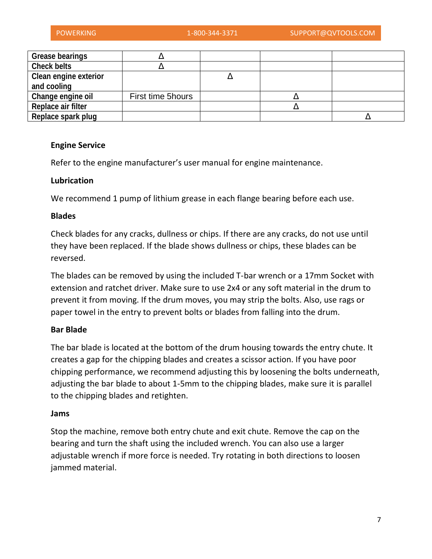| <b>Grease bearings</b>       |                   |  |  |
|------------------------------|-------------------|--|--|
| <b>Check belts</b>           |                   |  |  |
| <b>Clean engine exterior</b> |                   |  |  |
| and cooling                  |                   |  |  |
| Change engine oil            | First time 5hours |  |  |
| Replace air filter           |                   |  |  |
| Replace spark plug           |                   |  |  |

#### **Engine Service**

Refer to the engine manufacturer's user manual for engine maintenance.

#### **Lubrication**

We recommend 1 pump of lithium grease in each flange bearing before each use.

#### **Blades**

Check blades for any cracks, dullness or chips. If there are any cracks, do not use until they have been replaced. If the blade shows dullness or chips, these blades can be reversed.

The blades can be removed by using the included T-bar wrench or a 17mm Socket with extension and ratchet driver. Make sure to use 2x4 or any soft material in the drum to prevent it from moving. If the drum moves, you may strip the bolts. Also, use rags or paper towel in the entry to prevent bolts or blades from falling into the drum.

#### **Bar Blade**

The bar blade is located at the bottom of the drum housing towards the entry chute. It creates a gap for the chipping blades and creates a scissor action. If you have poor chipping performance, we recommend adjusting this by loosening the bolts underneath, adjusting the bar blade to about 1-5mm to the chipping blades, make sure it is parallel to the chipping blades and retighten.

#### **Jams**

Stop the machine, remove both entry chute and exit chute. Remove the cap on the bearing and turn the shaft using the included wrench. You can also use a larger adjustable wrench if more force is needed. Try rotating in both directions to loosen jammed material.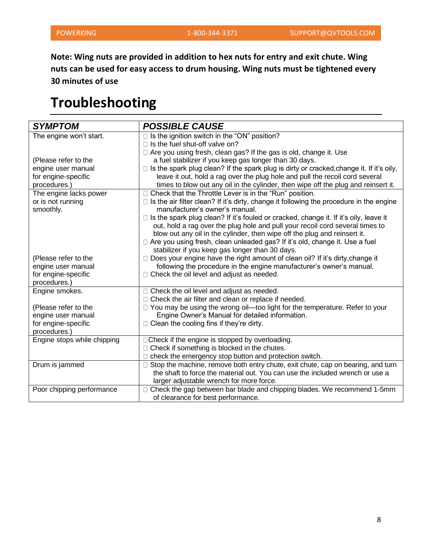**Note: Wing nuts are provided in addition to hex nuts for entry and exit chute. Wing nuts can be used for easy access to drum housing. Wing nuts must be tightened every 30 minutes of use**

## **Troubleshooting**

| <b>SYMPTOM</b>              | <b>POSSIBLE CAUSE</b>                                                                           |
|-----------------------------|-------------------------------------------------------------------------------------------------|
| The engine won't start.     | $\Box$ Is the ignition switch in the "ON" position?                                             |
|                             | □ Is the fuel shut-off valve on?                                                                |
|                             | □ Are you using fresh, clean gas? If the gas is old, change it. Use                             |
| (Please refer to the        | a fuel stabilizer if you keep gas longer than 30 days.                                          |
| engine user manual          | $\Box$ Is the spark plug clean? If the spark plug is dirty or cracked, change it. If it's oily, |
| for engine-specific         | leave it out, hold a rag over the plug hole and pull the recoil cord several                    |
| procedures.)                | times to blow out any oil in the cylinder, then wipe off the plug and reinsert it.              |
| The engine lacks power      | □ Check that the Throttle Lever is in the "Run" position.                                       |
| or is not running           | $\Box$ Is the air filter clean? If it's dirty, change it following the procedure in the engine  |
| smoothly.                   | manufacturer's owner's manual.                                                                  |
|                             | □ Is the spark plug clean? If it's fouled or cracked, change it. If it's oily, leave it         |
|                             | out, hold a rag over the plug hole and pull your recoil cord several times to                   |
|                             | blow out any oil in the cylinder, then wipe off the plug and reinsert it.                       |
|                             | □ Are you using fresh, clean unleaded gas? If it's old, change it. Use a fuel                   |
|                             | stabilizer if you keep gas longer than 30 days.                                                 |
| (Please refer to the        | □ Does your engine have the right amount of clean oil? If it's dirty, change it                 |
| engine user manual          | following the procedure in the engine manufacturer's owner's manual.                            |
| for engine-specific         | $\Box$ Check the oil level and adjust as needed.                                                |
| procedures.)                |                                                                                                 |
| Engine smokes.              | □ Check the oil level and adjust as needed.                                                     |
|                             | □ Check the air filter and clean or replace if needed.                                          |
| (Please refer to the        | □ You may be using the wrong oil-too light for the temperature. Refer to your                   |
| engine user manual          | Engine Owner's Manual for detailed information.                                                 |
| for engine-specific         | $\Box$ Clean the cooling fins if they're dirty.                                                 |
| procedures.)                |                                                                                                 |
| Engine stops while chipping | □ Check if the engine is stopped by overloading.                                                |
|                             | $\Box$ Check if something is blocked in the chutes.                                             |
|                             | $\Box$ check the emergency stop button and protection switch.                                   |
| Drum is jammed              | □ Stop the machine, remove both entry chute, exit chute, cap on bearing, and turn               |
|                             | the shaft to force the material out. You can use the included wrench or use a                   |
|                             | larger adjustable wrench for more force.                                                        |
| Poor chipping performance   | □ Check the gap between bar blade and chipping blades. We recommend 1-5mm                       |
|                             | of clearance for best performance.                                                              |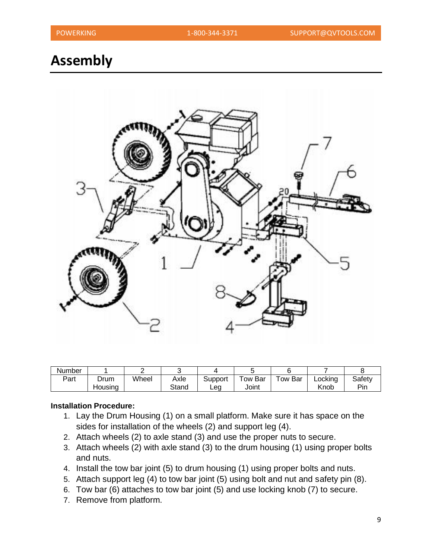## **Assembly**



| Number |                 |       |               |                |                        |         |                 |               |
|--------|-----------------|-------|---------------|----------------|------------------------|---------|-----------------|---------------|
| Part   | Drum<br>Housing | Wheel | Axle<br>Stand | Support<br>Lea | $\tau$ ow Bar<br>Joint | Tow Bar | Lockina<br>Knob | Safety<br>Pin |

#### **Installation Procedure:**

- 1. Lay the Drum Housing (1) on a small platform. Make sure it has space on the sides for installation of the wheels (2) and support leg (4).
- 2. Attach wheels (2) to axle stand (3) and use the proper nuts to secure.
- 3. Attach wheels (2) with axle stand (3) to the drum housing (1) using proper bolts and nuts.
- 4. Install the tow bar joint (5) to drum housing (1) using proper bolts and nuts.
- 5. Attach support leg (4) to tow bar joint (5) using bolt and nut and safety pin (8).
- 6. Tow bar (6) attaches to tow bar joint (5) and use locking knob (7) to secure.
- 7. Remove from platform.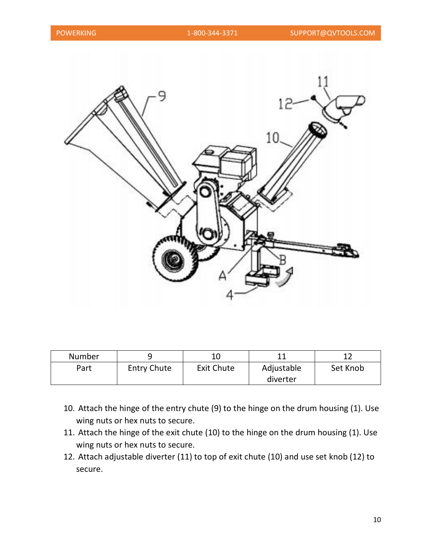

| <b>Number</b> |                    |                   | 11         |          |
|---------------|--------------------|-------------------|------------|----------|
| Part          | <b>Entry Chute</b> | <b>Exit Chute</b> | Adjustable | Set Knob |
|               |                    |                   | diverter   |          |

- 10. Attach the hinge of the entry chute (9) to the hinge on the drum housing (1). Use wing nuts or hex nuts to secure.
- 11. Attach the hinge of the exit chute (10) to the hinge on the drum housing (1). Use wing nuts or hex nuts to secure.
- 12. Attach adjustable diverter (11) to top of exit chute (10) and use set knob (12) to secure.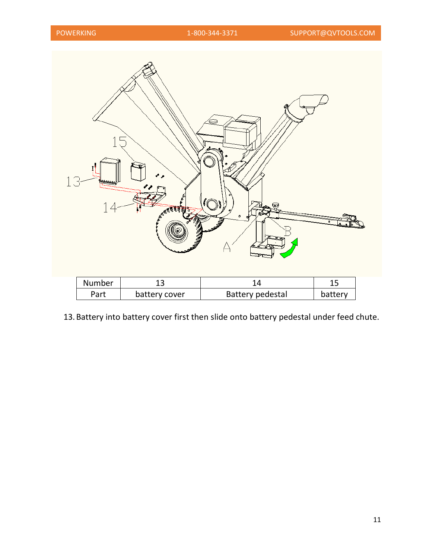| $1\,\subset$<br>بهمطة | <b>ASSESSED</b> | ¢                       |         |
|-----------------------|-----------------|-------------------------|---------|
| Number                | 13              | 14                      | 15      |
| Part                  | battery cover   | <b>Battery pedestal</b> | battery |

13. Battery into battery cover first then slide onto battery pedestal under feed chute.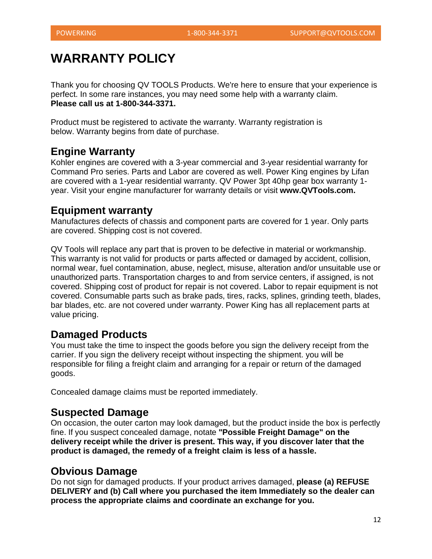## **WARRANTY POLICY**

Thank you for choosing QV TOOLS Products. We're here to ensure that your experience is perfect. In some rare instances, you may need some help with a warranty claim. **Please call us at 1-800-344-3371.**

Product must be registered to activate the warranty. Warranty registration is below. Warranty begins from date of purchase.

### **Engine Warranty**

Kohler engines are covered with a 3-year commercial and 3-year residential warranty for Command Pro series. Parts and Labor are covered as well. Power King engines by Lifan are covered with a 1-year residential warranty. QV Power 3pt 40hp gear box warranty 1 year. Visit your engine manufacturer for warranty details or visit **www.QVTools.com.**

### **Equipment warranty**

Manufactures defects of chassis and component parts are covered for 1 year. Only parts are covered. Shipping cost is not covered.

QV Tools will replace any part that is proven to be defective in material or workmanship. This warranty is not valid for products or parts affected or damaged by accident, collision, normal wear, fuel contamination, abuse, neglect, misuse, alteration and/or unsuitable use or unauthorized parts. Transportation charges to and from service centers, if assigned, is not covered. Shipping cost of product for repair is not covered. Labor to repair equipment is not covered. Consumable parts such as brake pads, tires, racks, splines, grinding teeth, blades, bar blades, etc. are not covered under warranty. Power King has all replacement parts at value pricing.

### **Damaged Products**

You must take the time to inspect the goods before you sign the delivery receipt from the carrier. If you sign the delivery receipt without inspecting the shipment. you will be responsible for filing a freight claim and arranging for a repair or return of the damaged goods.

Concealed damage claims must be reported immediately.

### **Suspected Damage**

On occasion, the outer carton may look damaged, but the product inside the box is perfectly fine. If you suspect concealed damage, notate **"Possible Freight Damage" on the delivery receipt while the driver is present. This way, if you discover later that the product is damaged, the remedy of a freight claim is less of a hassle.**

### **Obvious Damage**

Do not sign for damaged products. If your product arrives damaged, **please (a) REFUSE DELIVERY and (b) Call where you purchased the item Immediately so the dealer can process the appropriate claims and coordinate an exchange for you.**